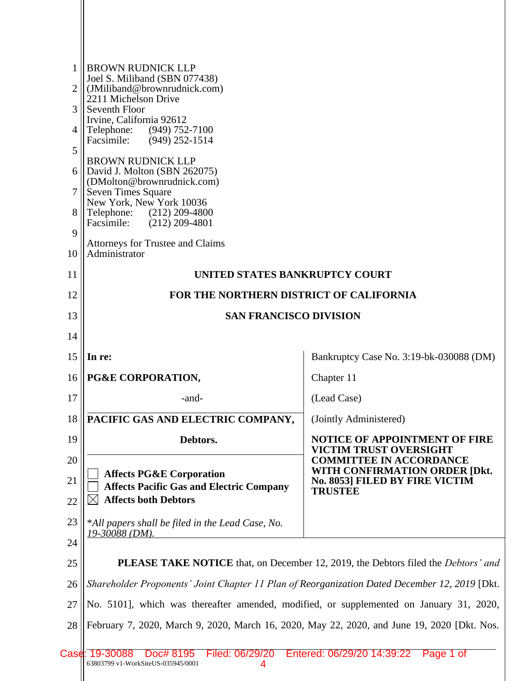|                | <b>BROWN RUDNICK LLP</b>                                                                      |                                                                                                 |  |  |
|----------------|-----------------------------------------------------------------------------------------------|-------------------------------------------------------------------------------------------------|--|--|
| 1              | Joel S. Miliband (SBN 077438)                                                                 |                                                                                                 |  |  |
| $\overline{2}$ | (JMiliband@brownrudnick.com)                                                                  |                                                                                                 |  |  |
| 3              | 2211 Michelson Drive<br>Seventh Floor                                                         |                                                                                                 |  |  |
|                | Irvine, California 92612                                                                      |                                                                                                 |  |  |
| 4              | Telephone:<br>(949) 752-7100<br>Facsimile: (949) 252-1514                                     |                                                                                                 |  |  |
| 5              |                                                                                               |                                                                                                 |  |  |
| 6              | <b>BROWN RUDNICK LLP</b><br>David J. Molton (SBN 262075)                                      |                                                                                                 |  |  |
|                | (DMolton@brownrudnick.com)                                                                    |                                                                                                 |  |  |
| 7              | Seven Times Square<br>New York, New York 10036                                                |                                                                                                 |  |  |
| 8              | Telephone: (212) 209-4800                                                                     |                                                                                                 |  |  |
| 9              | Facsimile: (212) 209-4801                                                                     |                                                                                                 |  |  |
| 10             | Attorneys for Trustee and Claims<br>Administrator                                             |                                                                                                 |  |  |
| 11             |                                                                                               |                                                                                                 |  |  |
|                | UNITED STATES BANKRUPTCY COURT                                                                |                                                                                                 |  |  |
| 12             | FOR THE NORTHERN DISTRICT OF CALIFORNIA                                                       |                                                                                                 |  |  |
| 13             | <b>SAN FRANCISCO DIVISION</b>                                                                 |                                                                                                 |  |  |
| 14             |                                                                                               |                                                                                                 |  |  |
| 15             | In re:                                                                                        | Bankruptcy Case No. 3:19-bk-030088 (DM)                                                         |  |  |
| 16             | PG&E CORPORATION,                                                                             | Chapter 11                                                                                      |  |  |
| 17             | -and-                                                                                         | (Lead Case)                                                                                     |  |  |
| 18             | <b>PACIFIC GAS AND ELECTRIC COMPANY,</b>                                                      | (Jointly Administered)                                                                          |  |  |
| 19             | Debtors.                                                                                      | <b>NOTICE OF APPOINTMENT OF FIRE</b><br>VICTIM TRUST OVERSIGHT                                  |  |  |
| 20             |                                                                                               | <b>COMMITTEE IN ACCORDANCE</b>                                                                  |  |  |
| 21             | <b>Affects PG&amp;E Corporation</b>                                                           | WITH CONFIRMATION ORDER [Dkt.<br>No. 8053] FILED BY FIRE VICTIM                                 |  |  |
|                | <b>Affects Pacific Gas and Electric Company</b>                                               | <b>TRUSTEE</b>                                                                                  |  |  |
| 22             | <b>Affects both Debtors</b>                                                                   |                                                                                                 |  |  |
| 23             | *All papers shall be filed in the Lead Case, No.                                              |                                                                                                 |  |  |
| 24             | 19-30088 (DM).                                                                                |                                                                                                 |  |  |
| 25             |                                                                                               | <b>PLEASE TAKE NOTICE</b> that, on December 12, 2019, the Debtors filed the <i>Debtors' and</i> |  |  |
| 26             | Shareholder Proponents' Joint Chapter 11 Plan of Reorganization Dated December 12, 2019 [Dkt. |                                                                                                 |  |  |
| 27             | No. 5101], which was thereafter amended, modified, or supplemented on January 31, 2020,       |                                                                                                 |  |  |
| 28             | February 7, 2020, March 9, 2020, March 16, 2020, May 22, 2020, and June 19, 2020 [Dkt. Nos.   |                                                                                                 |  |  |
|                |                                                                                               |                                                                                                 |  |  |
|                | Filed: 06/29/20<br>Case: 19-30088<br>Doc# 8195<br>63803799 v1-WorkSiteUS-035945/0001          | Entered: 06/29/20 14:39:22<br>Page 1 of                                                         |  |  |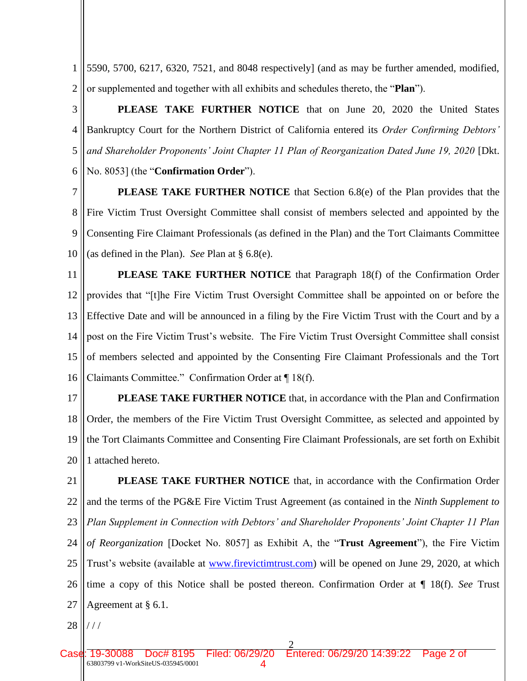1 2 5590, 5700, 6217, 6320, 7521, and 8048 respectively] (and as may be further amended, modified, or supplemented and together with all exhibits and schedules thereto, the "**Plan**").

3 4 5 6 **PLEASE TAKE FURTHER NOTICE** that on June 20, 2020 the United States Bankruptcy Court for the Northern District of California entered its *Order Confirming Debtors' and Shareholder Proponents' Joint Chapter 11 Plan of Reorganization Dated June 19, 2020* [Dkt. No. 8053] (the "**Confirmation Order**").

7 8 9 10 **PLEASE TAKE FURTHER NOTICE** that Section 6.8(e) of the Plan provides that the Fire Victim Trust Oversight Committee shall consist of members selected and appointed by the Consenting Fire Claimant Professionals (as defined in the Plan) and the Tort Claimants Committee (as defined in the Plan). *See* Plan at § 6.8(e).

11 12 13 14 15 16 **PLEASE TAKE FURTHER NOTICE** that Paragraph 18(f) of the Confirmation Order provides that "[t]he Fire Victim Trust Oversight Committee shall be appointed on or before the Effective Date and will be announced in a filing by the Fire Victim Trust with the Court and by a post on the Fire Victim Trust's website. The Fire Victim Trust Oversight Committee shall consist of members selected and appointed by the Consenting Fire Claimant Professionals and the Tort Claimants Committee." Confirmation Order at ¶ 18(f).

17 18 19 20 **PLEASE TAKE FURTHER NOTICE** that, in accordance with the Plan and Confirmation Order, the members of the Fire Victim Trust Oversight Committee, as selected and appointed by the Tort Claimants Committee and Consenting Fire Claimant Professionals, are set forth on Exhibit 1 attached hereto.

21 22 23 24 25 26 27 **PLEASE TAKE FURTHER NOTICE** that, in accordance with the Confirmation Order and the terms of the PG&E Fire Victim Trust Agreement (as contained in the *Ninth Supplement to Plan Supplement in Connection with Debtors' and Shareholder Proponents' Joint Chapter 11 Plan of Reorganization* [Docket No. 8057] as Exhibit A, the "**Trust Agreement**"), the Fire Victim Trust's website (available at www.firevictimtrust.com) will be opened on June 29, 2020, at which time a copy of this Notice shall be posted thereon. Confirmation Order at ¶ 18(f). *See* Trust Agreement at § 6.1.

28 / / /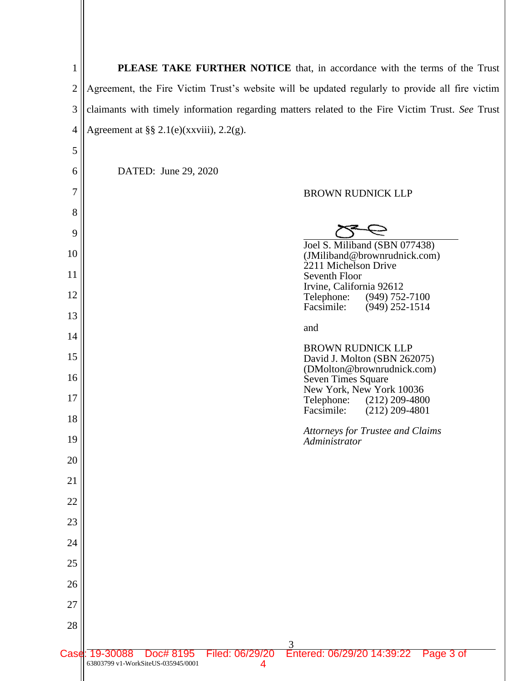1 2 3 4 **PLEASE TAKE FURTHER NOTICE** that, in accordance with the terms of the Trust Agreement, the Fire Victim Trust's website will be updated regularly to provide all fire victim claimants with timely information regarding matters related to the Fire Victim Trust. *See* Trust Agreement at  $\S § 2.1(e)$ (xxviii), 2.2(g).

| 5    |                                                             |                      |                                                                                         |
|------|-------------------------------------------------------------|----------------------|-----------------------------------------------------------------------------------------|
| 6    | DATED: June 29, 2020                                        |                      |                                                                                         |
| 7    |                                                             |                      | <b>BROWN RUDNICK LLP</b>                                                                |
| 8    |                                                             |                      |                                                                                         |
| 9    |                                                             |                      |                                                                                         |
| 10   |                                                             |                      | Joel S. Miliband (SBN 077438)<br>(JMiliband@brownrudnick.com)                           |
| 11   |                                                             |                      | 2211 Michelson Drive<br>Seventh Floor                                                   |
| 12   |                                                             |                      | Irvine, California 92612<br>Telephone:<br>$(949)$ 752-7100                              |
| 13   |                                                             |                      | $(949)$ 252-1514<br>Facsimile:                                                          |
| 14   |                                                             |                      | and                                                                                     |
| 15   |                                                             |                      | <b>BROWN RUDNICK LLP</b><br>David J. Molton (SBN 262075)                                |
| 16   |                                                             |                      | (DMolton@brownrudnick.com)<br>Seven Times Square                                        |
| 17   |                                                             |                      | New York, New York 10036<br>Telephone: (212) 209-4800<br>Facsimile:<br>$(212)$ 209-4801 |
| 18   |                                                             |                      |                                                                                         |
| 19   |                                                             |                      | <b>Attorneys for Trustee and Claims</b><br>Administrator                                |
| 20   |                                                             |                      |                                                                                         |
| 21   |                                                             |                      |                                                                                         |
| 22   |                                                             |                      |                                                                                         |
| 23   |                                                             |                      |                                                                                         |
| 24   |                                                             |                      |                                                                                         |
| 25   |                                                             |                      |                                                                                         |
| 26   |                                                             |                      |                                                                                         |
| 27   |                                                             |                      |                                                                                         |
| 28   |                                                             |                      |                                                                                         |
| Case | Doc# 8195<br>19-30088<br>63803799 v1-WorkSiteUS-035945/0001 | Filed: 06/29/20<br>4 | Entered: 06/29/20 14:39:22<br>Page 3 of                                                 |
|      |                                                             |                      |                                                                                         |